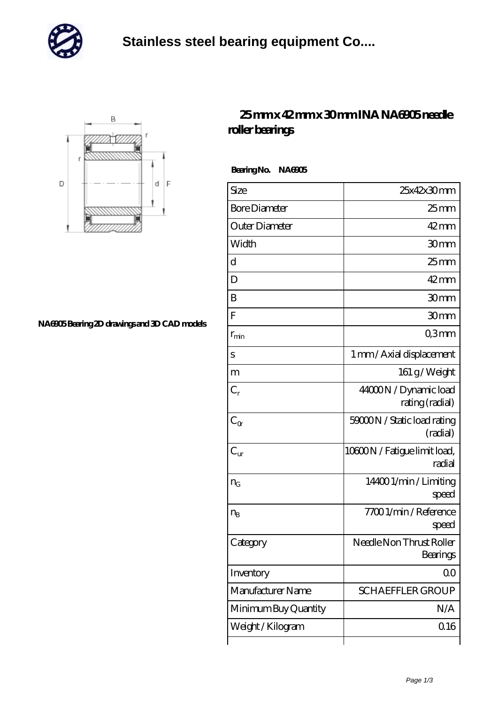

## **[Stainless steel bearing equipment Co....](https://m.nec-itsolutions.com)**



## **[NA6905 Bearing 2D drawings and 3D CAD models](https://m.nec-itsolutions.com/pic-16271.html)**

## **[25 mm x 42 mm x 30 mm INA NA6905 needle](https://m.nec-itsolutions.com/aw-16271-ina-na6905-needle-roller-bearings.html) [roller bearings](https://m.nec-itsolutions.com/aw-16271-ina-na6905-needle-roller-bearings.html)**

 **Bearing No. NA6905**

| Size                 | 25x42x30mm                               |
|----------------------|------------------------------------------|
| <b>Bore Diameter</b> | $25 \text{mm}$                           |
| Outer Diameter       | $42$ mm                                  |
| Width                | 30mm                                     |
| d                    | $25$ mm                                  |
| D                    | $42$ mm                                  |
| B                    | 30mm                                     |
| F                    | 30mm                                     |
| $r_{\rm min}$        | Q3mm                                     |
| S                    | 1 mm / Axial displacement                |
| m                    | 161 g/Weight                             |
| $C_r$                | 44000N / Dynamic load<br>rating (radial) |
| $C_{\alpha}$         | 59000N / Static load rating<br>(radial)  |
| $C_{\rm ur}$         | 10800N / Fatigue limit load,<br>radial   |
| $n_G$                | 144001/min/Limiting<br>speed             |
| $n_{\rm B}$          | 77001/min/Reference<br>speed             |
| Category             | Needle Non Thrust Roller<br>Bearings     |
| Inventory            | QO                                       |
| Manufacturer Name    | <b>SCHAEFFLER GROUP</b>                  |
| Minimum Buy Quantity | N/A                                      |
| Weight / Kilogram    | Q16                                      |
|                      |                                          |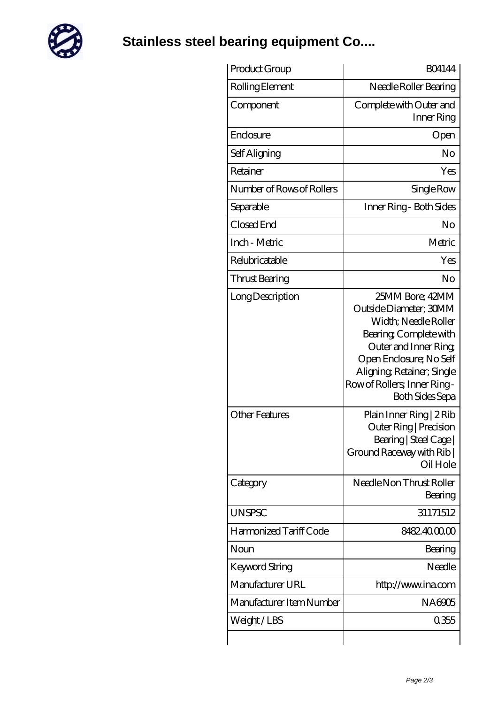

**[Stainless steel bearing equipment Co....](https://m.nec-itsolutions.com)**

| Product Group                             | <b>BO4144</b>                                                                                                                                                                                                                                                    |
|-------------------------------------------|------------------------------------------------------------------------------------------------------------------------------------------------------------------------------------------------------------------------------------------------------------------|
| Rolling Element                           | Needle Roller Bearing                                                                                                                                                                                                                                            |
| Component                                 | Complete with Outer and<br>Inner Ring                                                                                                                                                                                                                            |
| Enclosure                                 | Open                                                                                                                                                                                                                                                             |
| Self Aligning                             | No                                                                                                                                                                                                                                                               |
| Retainer                                  | Yes                                                                                                                                                                                                                                                              |
| Number of Rows of Rollers                 | Single Row                                                                                                                                                                                                                                                       |
| Separable                                 | Inner Ring - Both Sides                                                                                                                                                                                                                                          |
| Closed End                                | No                                                                                                                                                                                                                                                               |
| Inch - Metric                             | Metric                                                                                                                                                                                                                                                           |
| Relubricatable                            | Yes                                                                                                                                                                                                                                                              |
| Thrust Bearing                            | No                                                                                                                                                                                                                                                               |
| Long Description<br><b>Other Features</b> | 25MM Bore; 42MM<br>Outside Diameter; 30MM<br>Width; Needle Roller<br>Bearing, Complete with<br>Outer and Inner Ring<br>Open Enclosure; No Self<br>Aligning Retainer; Single<br>Row of Rollers, Inner Ring-<br><b>Both Sides Sepa</b><br>Plain Inner Ring   2 Rib |
|                                           | Outer Ring   Precision<br>Bearing   Steel Cage  <br>Ground Raceway with Rib  <br>Oil Hole                                                                                                                                                                        |
| Category                                  | Needle Non Thrust Roller<br>Bearing                                                                                                                                                                                                                              |
| <b>UNSPSC</b>                             | 31171512                                                                                                                                                                                                                                                         |
| Harmonized Tariff Code                    | 8482.400000                                                                                                                                                                                                                                                      |
| Noun                                      | Bearing                                                                                                                                                                                                                                                          |
| Keyword String                            | Needle                                                                                                                                                                                                                                                           |
| Manufacturer URL                          | http://www.ina.com                                                                                                                                                                                                                                               |
| Manufacturer Item Number                  | NA6905                                                                                                                                                                                                                                                           |
| Weight/LBS                                | 0355                                                                                                                                                                                                                                                             |
|                                           |                                                                                                                                                                                                                                                                  |